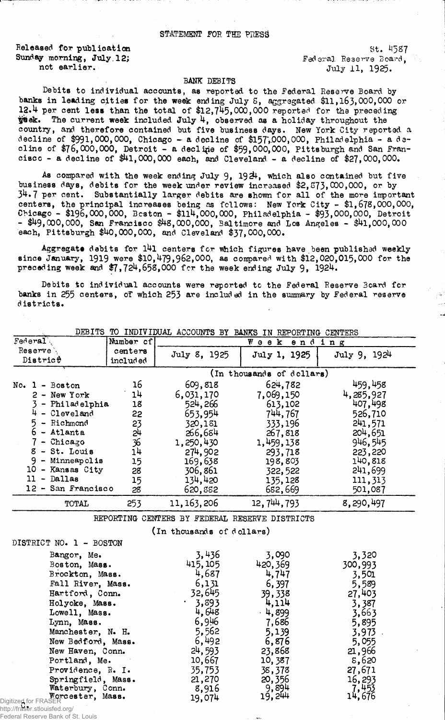Released for publication  $St. 4587$ Sunday morning, July.12; Federal Reserve Board,

not earlier. July 11, 1925.

## BANK DEBITS

Debits to individual accounts, as reported to the Federal Reserve Board by banks in leading cities for the week ending July S, aggregated \$11,163,000,000 or 12.4 per cent less than the total of \$12,745,000,000 reported for the preceding  $\ddot{y}$ ek. The current week included July 4, observed as a holiday throughout the country, and therefore contained but five business days. New York City reported a decline of  $$991,000,000$ , Chicago - a decline of  $$157,000,000$ , Philadelphia - a decline of  $$76,000,000$ , Detroit - a decline of  $$59,000,000$ , Pittsburgh and San Francisco - a decline of \$41,000,000 each, and Cleveland - a decline of \$27,000,000.

As compared with the week ending July 9,  $1924$ , which also contained but five business days, debits for the week under review increased \$2, 873, 000,000, or by 34.7 per cent. Substantially larger debits are shown for all of the more important centers, the principal increases being as fellows: New York City - \$1,678,000,000, Chicago - \$196,000,000, Beston - \$114,000,000, Philadelphia - \$93,000,000, Detroit  $-$  \$49,000,000, San Francisco \$48,000,000, Baltimore and Los Angeles  $-$  \$41,000,000 each, Pittsburgh \$40,000,000, and Cleveland \$37,000,000.

Aggregate debits for 141 centers for which figures have been published weekly since January, 1919 were \$10,479,962,000, as compared with \$12,020,015,000 for the preceding week and  $$7,724,658,000$  for the week ending July 9, 1924.

Debits to individual accounts were reported tc the Federal Reserve Board for banks in 255 centers, of which 253 are included in the summary by Federal reserve districts.

| Federal                                  | Mumber cf |                                                | Week                      | ending       |
|------------------------------------------|-----------|------------------------------------------------|---------------------------|--------------|
| Reserve                                  | centers   | July 8, 1925                                   | July 1, 1925              | July 9, 1924 |
| District                                 | included  |                                                |                           |              |
|                                          |           |                                                | (In thousands of dollars) |              |
| $No. 1 - Boston$                         | 16        | 609,818                                        | 624,782                   | 459,458      |
| $2 - New York$                           | 14        | 6,031,170                                      | 7,069,150                 | 4,285,927    |
| 3 - Philadelphia                         | 18        | 524, 266                                       | 613,102                   | 407,498      |
| 4<br>- Cleveland                         | 55        | 653,954                                        | 744,767                   | 526,710      |
| 5<br>- Richmond                          | 23        | 320,181                                        | 333,196                   | 241,571      |
| $6$ - Atlanta                            | 51        | 266,684                                        | 267,818                   | 204,651      |
| - Chicago                                | 36        | 1,250,430                                      | 1,459,138                 | 946,545      |
| $8 - St.$ Louis                          | 14        | 274,902                                        | 293,718                   | 223,220      |
| $9 -$ Minneapolis                        | 15        | 169,638                                        | 198,803                   | 140,818      |
| 10 - Kansas City                         | 28        | 306,861                                        | 322,522                   | 241,699      |
| $11 -$ Dallas                            | 15        | 134,420                                        | 135, 128                  | 111,313      |
| 12 - San Francisco                       | 28        | 620,882                                        | 682,669                   | 501,087      |
| TOTAL                                    | 253       | 11, 163, 206                                   | 12, 744, 793              | 8,290,497    |
|                                          |           | REPORTING CENTERS BY FEDERAL RESERVE DISTRICTS |                           |              |
|                                          |           | (In thousands of dollars)                      |                           |              |
| DISTRICT NO. 1 - BOSTON                  |           |                                                |                           |              |
| Bangor, Me.                              |           | 3,436                                          | 3,090                     | 3,320        |
| Boston, Mass.                            |           | 415, 105                                       | 420, 369                  | 300,993      |
| Brockton, Mass.                          |           | 4,687                                          | 4,747                     | 3,501        |
| Fall River, Mass.                        |           | 6,131                                          | 6,397                     | 5,589        |
| Hartford, Conn.                          |           | 32,645                                         | 39,338                    | 27,403       |
| Holyoke, Mass.                           |           | 3,893                                          | 4,114                     | 3,387        |
| Lowell, Mass.                            |           | 4,648                                          | $-4,899$                  | 3,663        |
| Lynn, Mass.                              |           | 6,946                                          | 7,686                     | 5,895        |
| Manchester, N. H.                        |           | 5,562                                          | 5,139                     | 3,973        |
| New Bedford, Mass.                       |           | 6,492                                          | 6,876                     | 5,055        |
| New Haven, Conn.                         |           | 24,593                                         | 23,868                    | 21,966       |
| Portland, Me.                            |           | 10,667                                         | 10,387                    | 8,620        |
| Providence, R. I.                        |           | 35,753                                         | 38,378                    | 27,671       |
| Springfield, Mass.                       |           | 21,270                                         | 20,356                    | 16,293       |
| Waterbury, Conn.                         |           | 8,916                                          | 9,894                     | 7,453        |
| Morcester, Mass.<br>Digitized for FRASER |           | 19,074                                         | 19,244                    | 14,676       |

DEBITS TO INDIVIDUAL ACCOUNTS BY BANKS IN REPORTING CENTERS

http://fraser.stlouisfed.org/

Federal Reserve Bank of St. Louis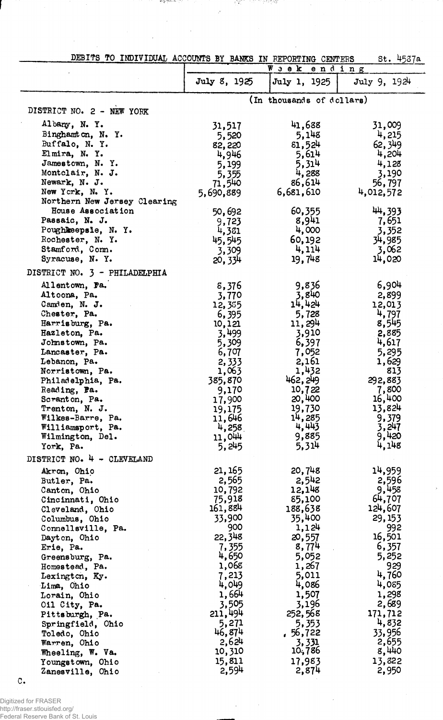|  | DEBITS TO INDIVIDUAL ACCOUNTS BY BANKS IN REPORTING CENTERS |  |  |  | St. 4537a |  |
|--|-------------------------------------------------------------|--|--|--|-----------|--|
|  |                                                             |  |  |  |           |  |

 $\bar{\mathcal{J}}$ 

그 일이 아니라 어려워요.

ಿಂತೆ ಕೋರ್ ನನ್ನು

l.

 $\cdot$ 

|                                |                 | Week ending               |                 |
|--------------------------------|-----------------|---------------------------|-----------------|
|                                | July 8, 1925    | July 1, 1925              | July 9, 1924    |
|                                |                 | (In thousands of dollars) |                 |
| DISTRICT NO. 2 - NEW YORK      |                 |                           |                 |
| Albany, N.Y.                   | 31,517          | 41,688                    | 31,009          |
| Binghamton, N. Y.              | 5,520           | 5,148                     | 4,215           |
| Buffalo, N. Y.                 | 82,220          | 81,524                    | 62, 349         |
| Elmira, N.Y.                   | 4,946           | 5,614                     | 4,204           |
| Jamestown, N. Y.               | 5,199           | 5,314                     | 4,128           |
| Montclair, N. J.               | 5,355           | 4,288                     | 3,190           |
| Newark, N. J.                  | 71,540          | 86,614                    | 56,797          |
| New York, N.Y.                 | 5,690,889       | 6,681,610                 | 4,012,572       |
| Northern New Jersey Clearing   |                 |                           |                 |
| House Association              | 50,692          | 60,355                    | 44,393          |
| Passaic, N. J.                 | 9,723           | 8,941                     | 7,651           |
| Poughkeepsle, N. Y.            | 4,381           | 4,000                     | 3,352           |
| Rochester, N. Y.               | 45,545          | 60,192                    | 34,985          |
| Stamford, Com.                 | 3,309           | 4,114                     | 3,062           |
| Syracuse, N.Y.                 | 20,334          | 19,748                    | 14,020          |
| DISTRICT NO. 3 - PHILADELPHIA  |                 |                           |                 |
|                                |                 | 9,836                     | 6,904           |
| Allentown, Pa.<br>Altoona, Pa. | 8,376           | 3,840                     | 2,899           |
|                                | 3,770           | 14,424                    |                 |
| Camden, N. J.<br>Chester, Pa.  | 12,385          | 5,728                     | 12,013<br>4,797 |
| Harrisburg, Pa.                | 6,395           | 11, 294                   | 8,545           |
| Hazleton, Pa.                  | 10,121<br>3,499 | 3,910                     | 2,885           |
| Johnstown, Pa.                 | 5,309           | 6,397                     | 4,617           |
| Lancaster, Pa.                 | 6,707           | 7,052                     | 5,295           |
| Lebanon, Pa.                   | 2,333           | 2,161                     | 1,629           |
| Norristown, Pa.                | 1,063           | 1,432                     | 813             |
| Philadelphia, Pa.              | 385,870         | 462, 249                  | 292,883         |
| Reading, Pa.                   | 9,170           | 10,722                    | 7,800           |
| Scranton, Pa.                  | 17,900          | 20,400                    | 16,400          |
| Trenton, N. J.                 | 19,175          | 19,730                    | 13,824          |
| Wilkes-Barre, Pa.              | 11,646          | 14,285                    | 9,379           |
| Williamsport, Pa.              | 4,258           | 4,443                     | 3,247           |
| Wilmington, Del.               | 11,044          | 9,885                     | 9,420           |
| York, Pa.                      | 5,245           | 5,314                     | 4,148           |
| DISTRICT NO. 4 - CLEVELAND     |                 |                           |                 |
| Akron, Ohio                    | 21, 165         | 20,748                    | 14,959          |
| Butler, Pa.                    | 2,565           | 2,542                     | 2,596           |
| Canton, Ohio                   | 10,792          | 12,148                    | 9,458           |
| Cincinnati, Ohio               | 75,918          | 85,100                    | 64,707          |
| Cleveland, Ohio                | 161,884         | 188,638                   | 124,607         |
| Columbus, Ohio                 | 33,900          | 35,400                    | 29, 153         |
| Connellsville, Pa.             | 900             | 1,124                     | 992             |
| Dayton, Ohio                   | 22,348          | 20,557                    | 16,501          |
| Erie, Pa.                      | 7,355           | 8,774                     | 6,357           |
| Greensburg, Pa.                | 4,650           | 5,052                     | 5,252           |
| Homestead, Pa.                 | 1,068           | 1,267                     | 929             |
| Lexington, Ky.                 | 7,213           | 5,011                     | 4,760           |
| Lima, Ohio                     | 4,049           | 4,086                     | 4,085           |
| Lorain, Ohio                   | 1,664           | 1,507                     | 1,298           |
| Oil City, Pa.                  | 3,505           | 3,196                     | 2,689           |
| Pittsburgh, Pa.                | 211,494         | 252,568                   | 171,712         |
| Springfield, Ohio              | 5,271           | 5,353                     | 4,832           |
| Toledo, Ohio                   | 46,874          | .56,722                   | 33,956          |
| Warren, Ohio                   | 2,624           | 3,331                     | 2,655           |
| Wheeling, W. Va.               | 10,310          | 10,786                    | 8,440           |
| Youngstown, Ohio               | 15,811          | 17,983                    | 13,822          |
| Zanesville, Ohio               | 2,594           | 2,874                     | 2,950           |

 $\hat{\mathcal{A}}$ 

 $\bar{z}$ 

 $\mathbb{C}$ .

Digitized for FRASER http://fraser.stlouisfed.org/ Federal Reserve Bank of St. Louis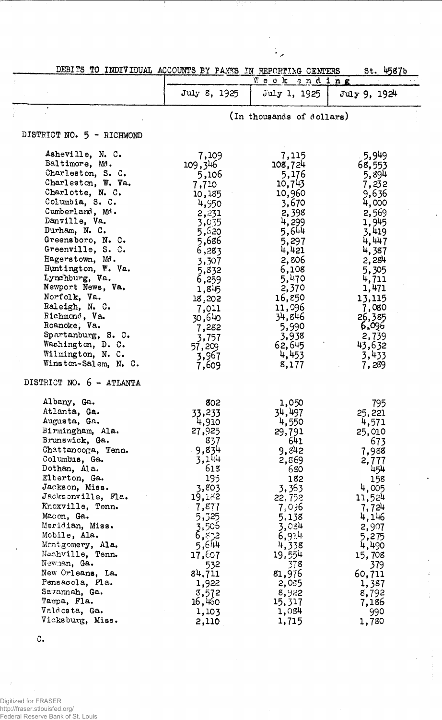| DEBITS TO INDIVIDUAL ACCOUNTS BY PANKS IN REPORTING CENTERS |                          |                               | St. 4587b      |
|-------------------------------------------------------------|--------------------------|-------------------------------|----------------|
|                                                             |                          | $W$ e e $\mathbf k$<br>ending |                |
|                                                             | July 8, 1925             | July 1, 1925                  | July 9, 1924   |
|                                                             |                          | (In thousands of dollars)     |                |
| DISTRICT NO. 5 - RICHMOND                                   |                          |                               |                |
|                                                             |                          |                               |                |
| Asheville, N. C.                                            | 7,109                    | 7,115                         | 5,949          |
| Baltimore, Md.                                              | 109,346                  | 108,724                       | 68,553         |
| Charleston, S. C.                                           | 5,106                    | 5,176                         | 5,894          |
| Charleston, W. Va.                                          | 7,710                    | 10,743                        | 7,232          |
| Charlotte, N. C.                                            | 10,185                   | 10,960                        | 9,636          |
| Columbia, S. C.                                             | 4,950                    | 3,670                         | 4,000          |
| Cumberland, Md.                                             | 2,231                    | 2,398                         | 2,569          |
| Danville, Va.                                               | 3,035                    | 4,299                         | 1,945          |
| Durham, N. C.                                               | 5,520                    | 5,644                         | 3,419          |
| Greensboro, N. C.                                           | 5,686                    | 5,297                         | 4,447          |
| Greenville, S. C.                                           | 6,283                    | 4,421                         | 4,387          |
| Hagerstown, Md.                                             | 3,307                    | 2,806                         | 2,284          |
| Huntington, W. Va.                                          | 5,832                    | 6,108                         | 5,305          |
| Lynchburg, Va.                                              | 6,259                    | $5,470$<br>2,370              | 4,711          |
| Newport News, Va.                                           | 1,845                    |                               | 1,471          |
| Norfolk, Va.                                                | 18,202                   | 16,850                        | 13,115         |
| Raleigh, N. C.                                              | 7,011                    | 11,096                        | 7,080          |
| Richmond, Va.                                               | 30,640                   | 34,846                        | 26,385         |
| Roanoke, Va.                                                | 7,282                    | 5,990                         | 6,096          |
| Spartanburg, S. C.                                          | 3,757                    | 3,938                         | 2,739          |
| Washington, D. C.                                           |                          | 62,645                        | 43,632         |
| Wilmington, N. C.<br>Winston-Salem, N. C.                   | 57,209<br>3,967<br>7,609 | 4,453<br>8,177                | 3,433<br>7,289 |
| DISTRICT NO. 6 - ATLANTA                                    |                          |                               |                |
|                                                             |                          |                               |                |
| Albany, Ga.                                                 | 802                      | 1,050                         | 795            |
| Atlanta, Ga.                                                | 33,233                   | 34,497                        | 25,221         |
| Augusta, Ga.                                                | 4,910                    | 4,550                         | 4,571          |
| Birmingham, Ala.                                            | 27,925                   | 29,791                        | 25,010         |
| Brunswick, Ga.                                              | 837                      | 641                           | 673            |
| Chattanooga, Tenn.                                          | 9,834                    | 9,842                         | 7,988          |
| Columbus, Ga.                                               | 3,144                    | 2,869                         | 2,777          |
| Dothan, Ala.                                                | 618                      | 680                           | 454            |
| Elberton, Ga.                                               | 195                      | 182                           | 158            |
| Jackson, Miss.                                              | 3,803                    | 3,363                         | 4,005          |
| Jacksonville, Fla.                                          | 19,182                   | 22, 752                       | 11,524         |
| Knoxville, Tenn.                                            | 7,877                    | 7,036                         | 7,724          |
| Macon, Ga.                                                  | 5,325                    | 5,138                         | 4,146          |
| Meridian, Miss.                                             | 3,506                    | 3,084                         | 2,907          |
| Mobile, Ala.                                                | 6,832                    | 6,914                         | 5,275          |
| Mentgomery, Ala.                                            | $5,6$ 44                 | 4,338                         | 4,490          |
| Nachville, Tenn.                                            | 17,607                   | 19,554                        | 15,708         |
| Newman, Ga.                                                 | 532                      | 378                           | 379            |
| New Orleans, La.                                            | 84,711                   | 81,976                        | 60,711         |
| Pensacola, Fla.                                             | 1,922                    | 2,085                         | 1,387          |
| Savannah, Ga.                                               | 3,572                    | 8,922                         | 8,792          |
| Tampa, Fla.                                                 | 16,460                   | 15,317                        | 7,186          |
| Valdosta, Ga.                                               | 1,103                    | 1,084                         | 990            |
| Vicksburg, Miss.                                            | 2,110                    | 1,715                         | 1,780          |
|                                                             |                          |                               |                |

 $\sim$ 

 $\ddot{\phantom{0}}$ 

 $\ddot{\cdot}$ 

 $\hat{\boldsymbol{\gamma}}$ 

78

 $\circ$ .

 $\bar{\beta}$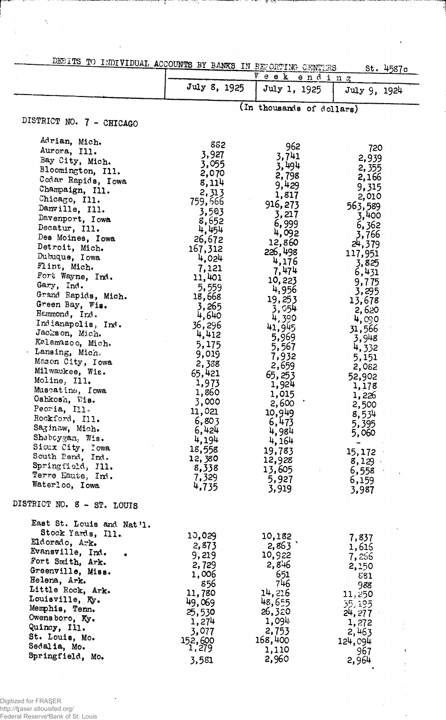| <b>CENTIVE OF THE LATER LATE OCCUPATION AV BANKS IN BECORTING CENTIVES</b> |  |  |  |  |
|----------------------------------------------------------------------------|--|--|--|--|
|                                                                            |  |  |  |  |

|                                                | ACCOUNTS IN SAMAN IN RECORTING CENTERS |                           | St. 4587c           |
|------------------------------------------------|----------------------------------------|---------------------------|---------------------|
|                                                |                                        | $V$ e e $k$               | ending              |
|                                                | July 8, 1925                           | July 1, 1925              | July 9, 1924        |
|                                                |                                        | (In thousands of dollars) |                     |
| DISTRICT NO. 7 - CHICAGO                       |                                        |                           |                     |
| Adrian, Mich.                                  | 882                                    | 962                       |                     |
| Aurora, Ill.                                   | 3,927                                  | 3,741                     | 720                 |
| Bay City, Mich.                                | 3,055                                  | 3,494                     | 2,939               |
| Bloomington, Ill.                              | 2,070                                  | 2,798                     | 2,355<br>2,166      |
| Cedar Rapids, Iowa                             | 8,114                                  | 9,429                     | 9,315               |
| Champaign, Ill.                                | 2,313                                  | 1,817                     | 2,010               |
| Chicago, Ill.<br>Danville, Ill.                | 759,566                                | 916, 273                  | 563,589             |
| Davenport, Iowa                                | 3,503                                  | 3,217                     | 3,400               |
| Decatur, Ill.                                  | 8,652<br>4,454                         | 6,999                     | 6,362               |
| Des Moines, Iowa                               | 26,672                                 | 4,092                     | 3,766               |
| Detroit, Mich.                                 | 167,312                                | 12,860                    | 24,379              |
| Dubuque, Iowa                                  | 4,024                                  | 226,498<br>4,176          | 117,951             |
| Flint, Mich.                                   | 7,121                                  | 7,474                     | 3,825               |
| Fort Wayne, Ind.                               | 11,401                                 | 10,223                    | 6,431<br>9,775      |
| Gary, Ind.                                     | 5,559                                  | 4,956                     | 3,295               |
| Grand Rapids, Mich.                            | 18,668                                 | 19,253                    | 13,678              |
| Green Bay, Wis.<br>Hemmond, Ind.               | 3,265<br>4,640                         | 3,054                     | 2,620               |
| Indianapolis, Ind.                             | 36,296                                 | 4,390                     | 4,090               |
| Jackson, Mich.                                 | 4,412                                  | 41,945                    | 31,566              |
| Kalamazoo, Mich.                               | 5,175                                  | 5,969<br>5,567            | 3,948               |
| Lansing, Mich.                                 | 9,019                                  | 7,932                     | 4,332<br>5,151      |
| Mason City, Iowa                               | 2,338                                  | 2,659                     | 2,082               |
| Milwaukee, Wis.                                | 65,421                                 | 65,253                    | 52,902              |
| Moline, Ill.<br>Muscatine, Iowa                | 1,973                                  | 1,924                     | 1,178               |
| Oshkosh, Wis.                                  | 1,860                                  | 1,015                     | 1,226               |
| Peoria, Ill.                                   | 3,000<br>11,021                        | 2,600                     | 2,500               |
| Rockford, Ill.                                 | 6,803                                  | 10,949<br>6,473           | 8,534               |
| Saginaw, Mich.                                 | 6,424                                  | 4,984                     | 5,395<br>5,060      |
| Sheboygan, Wis.                                | 4,194                                  | 4, 164                    |                     |
| Sioux City, Iowa                               | 18,558                                 | 19,783                    | 15,172              |
| South Pend, Ind.                               | 12,380                                 | 12,928                    | 8,129               |
| Springfield, Ill.<br>Terre Haute, Ind.         | 8,338                                  | 13,605                    | 6,558               |
| Waterloo, Iowa                                 | 7,329<br>4,735                         | 5,927                     | 6,159               |
| DISTRICT NO. 8 - ST. LOUIS                     |                                        | 3,919                     | 3,987               |
|                                                |                                        |                           |                     |
| East St. Louis and Nat'l.<br>Stock Yards, Ill. |                                        |                           |                     |
| Eldorado, Ark.                                 | 10,029                                 | 10,182                    | 7,837               |
| Evansville, Ind.                               | 2,873                                  | 2,863                     | 1,615               |
| Fort Smith, Ark.                               | 9,219<br>2,729                         | 10,922<br>2,846           | 7,256               |
| Greenville, Miss.                              | 1,006                                  | 651                       | 2,150<br><b>881</b> |
| Helena, Ark.                                   | 856                                    | 746                       | 988                 |
| Little Rock, Ark.                              | 11,780                                 | 14,216                    | 11,250              |
| Louisville, Ky.                                | 49,069                                 | 48,655                    | 35,195              |
| Memphis, Tenn.<br>Owensboro, Ky.               | 25,530                                 | 26,320                    | 24, 277             |
| Quincy, Ill.                                   | 1,274                                  | 1,094                     | 1,272               |
| St. Louis, Mo.                                 | 3,077                                  | 2,753                     | 2,463               |
| Sedalia, Mo.                                   | 152,600<br>1,279                       | 168,400<br>1,110          | 124,094<br>967      |
| Springfield, Mo.                               | 3,581                                  | 2,960                     | 2,964               |

 $\ddot{\cdot}$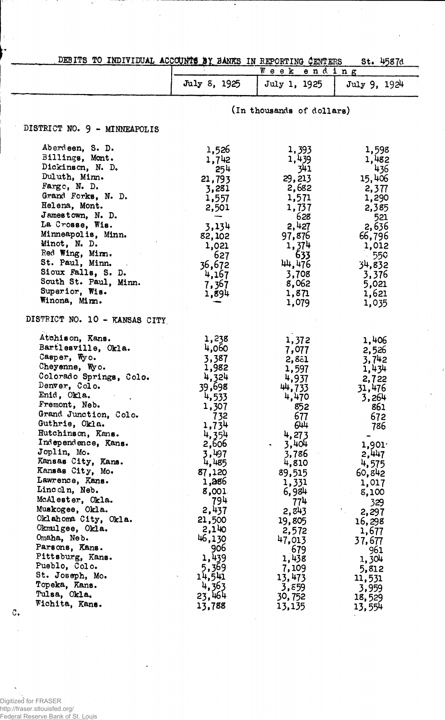| DEBITS TO INDIVIDUAL ACCOUNTS BY BANKS IN REPORTING CENTERS<br>$St.$ 4587d                                                                |                                                                                                                                                  |                                                                                                                                              |
|-------------------------------------------------------------------------------------------------------------------------------------------|--------------------------------------------------------------------------------------------------------------------------------------------------|----------------------------------------------------------------------------------------------------------------------------------------------|
|                                                                                                                                           |                                                                                                                                                  |                                                                                                                                              |
| July 8, 1925                                                                                                                              | July 1, 1925                                                                                                                                     | July 9, 1924                                                                                                                                 |
|                                                                                                                                           |                                                                                                                                                  |                                                                                                                                              |
|                                                                                                                                           |                                                                                                                                                  |                                                                                                                                              |
| 1,526<br>1,742<br>254<br>21,793<br>3,281<br>1,557<br>2,501<br>$-$<br>3,134<br>82,102<br>1,021<br>627<br>36,672<br>4,167<br>7,367<br>1,894 | 1,393<br>1,439<br><b>341</b><br>29,213<br>2,682<br>1,571<br>1,737<br>628<br>2,427<br>97,876<br>1,374<br>633<br>44,476<br>3,708<br>8,062<br>1,871 | 1,598<br>1,482<br>436<br>15,406<br>2,377<br>1,290<br>2,385<br>521<br>2,636<br>66,796<br>1,012<br>$-550$<br>34,832<br>3,376<br>5,021<br>1,621 |
|                                                                                                                                           |                                                                                                                                                  | 1,035                                                                                                                                        |
| 1,238<br>4,060<br>3,387<br>1,982<br>4,324<br>39,698<br>4,533<br>1,307<br>732<br>1,734<br>4,354<br>2,606                                   | 1,372<br>7,077<br>2,881<br>1,597<br>4,937<br>44,733<br>4,470<br>852<br>677<br>644<br>4,273<br>3,404<br>$\bullet$                                 | 1,406<br>2,526<br>3,742<br>1,434<br>2,722<br>31,476<br>3,264<br>861<br>672<br>786<br>1,901<br>2,447                                          |
|                                                                                                                                           | 3,497                                                                                                                                            | Week ending<br>(In thousands of dollars)<br>1,079<br>3,786                                                                                   |

| Casper, Wyo.            | 3,387  | 2,881       | 3,742            |
|-------------------------|--------|-------------|------------------|
| Cheyenne, Wyo.          | 1,982  | 1,597       | 1,434            |
| Colorado Springs, Colo. | 4,324  | 4,937       | 2,722            |
| Denver, Colo.           | 39,698 | 44,733      | 31,476           |
| Enid, Okla.             | 4,533  | 4,470       | 3,264            |
| Fremont, Neb.           | 1,307  | 852         | 861              |
| Grand Junction, Colo.   | 732    | 677         | 672              |
| Guthrie, Okla.          | 1,734  | 644         | 786              |
| Hutchinson, Kans.       | 4,354  | 4,273       |                  |
| Independence, Kans.     | 2,606  | 3,404<br>×. | $1,901^{\circ}$  |
| Joplin, Mo.             | 3,497  | 3,786       | 2,447            |
| Kansas City, Kans.      | 4,485  | 4,810       | 4,575            |
| Kansas City, Mo.        | 87,120 | 89,515      | 60,842           |
| Lawrence, Kans.         | 1,286  | 1,331       | 1,017            |
| Lincoln, Neb.           | 8,001  | 6,984       | 8,100            |
| McAlester, Okla.        | 794    | 774         | 329              |
| Muskogee, Okla.         | 2,437  | 2,843       | 2,297<br>Turisti |
| Oklahoma City, Okla.    | 21,500 | 19,805      | 16,298           |
| Okmulgee, Okla.         | 2,140  | 2,572       | 1,677            |
| Omaha, Neb.             | 46,130 | 47,013      | 37,677           |
| Parsons, Kans.          | 906    | 679         | 961              |
| Pittsburg, Kans.        | 1,439  | 1,438       | 1,304            |
| Pueblo, Colo.           | 5,369  | 7,109       | 5,812            |
| St. Joseph, Mo.         | 14,541 | 13,473      | 11,531           |
| Topeka, Kans.           | 4,363  | 3,859       | 3,959            |
| Tulsa, Okla.            | 23,464 | 30,752      | 18,529           |
| Wichita, Kans.          | 13,788 | 13,135      | 13,554           |
|                         |        |             |                  |

Digitized for FRASER http://fraser.stlouisfed.org/ Federal Reserve Bank of St. Louis

 $\sigma_{\bullet}$